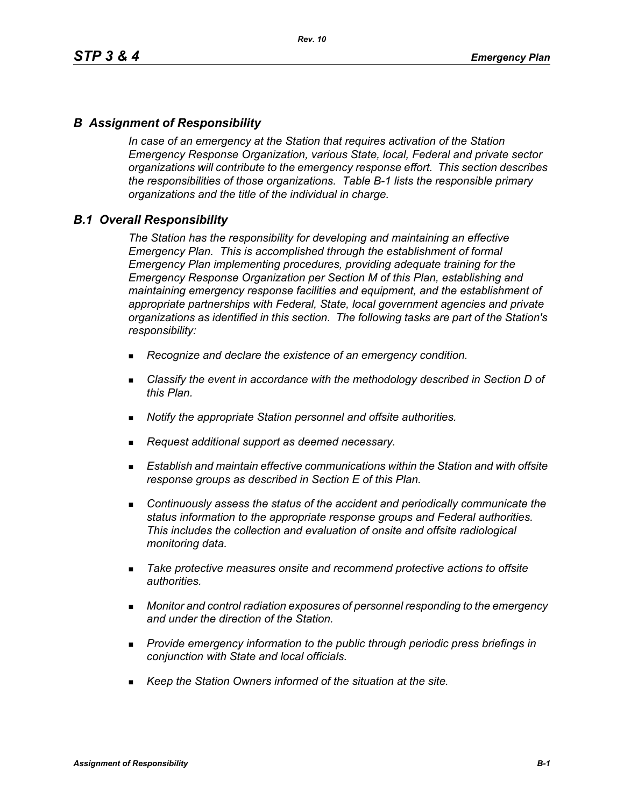## *B Assignment of Responsibility*

*In case of an emergency at the Station that requires activation of the Station Emergency Response Organization, various State, local, Federal and private sector organizations will contribute to the emergency response effort. This section describes the responsibilities of those organizations. Table B-1 lists the responsible primary organizations and the title of the individual in charge.*

### *B.1 Overall Responsibility*

*The Station has the responsibility for developing and maintaining an effective Emergency Plan. This is accomplished through the establishment of formal Emergency Plan implementing procedures, providing adequate training for the Emergency Response Organization per Section M of this Plan, establishing and maintaining emergency response facilities and equipment, and the establishment of appropriate partnerships with Federal, State, local government agencies and private organizations as identified in this section. The following tasks are part of the Station's responsibility:*

- *Recognize and declare the existence of an emergency condition.*
- *Classify the event in accordance with the methodology described in Section D of this Plan.*
- *Notify the appropriate Station personnel and offsite authorities.*
- *Request additional support as deemed necessary.*
- **Establish and maintain effective communications within the Station and with offsite** *response groups as described in Section E of this Plan.*
- *Continuously assess the status of the accident and periodically communicate the status information to the appropriate response groups and Federal authorities. This includes the collection and evaluation of onsite and offsite radiological monitoring data.*
- *Take protective measures onsite and recommend protective actions to offsite authorities.*
- *Monitor and control radiation exposures of personnel responding to the emergency and under the direction of the Station.*
- *Provide emergency information to the public through periodic press briefings in conjunction with State and local officials.*
- *Keep the Station Owners informed of the situation at the site.*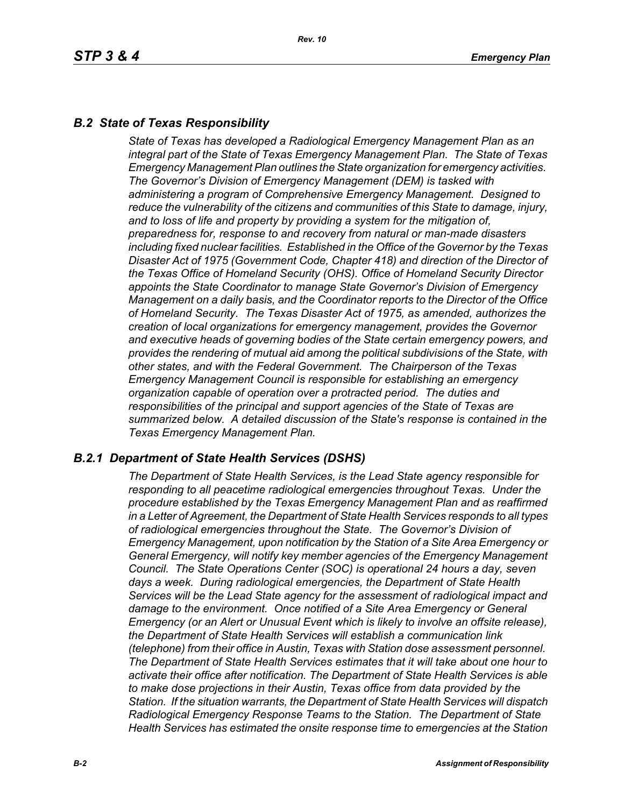# *B.2 State of Texas Responsibility*

*State of Texas has developed a Radiological Emergency Management Plan as an integral part of the State of Texas Emergency Management Plan. The State of Texas Emergency Management Plan outlines the State organization for emergency activities. The Governor's Division of Emergency Management (DEM) is tasked with administering a program of Comprehensive Emergency Management. Designed to reduce the vulnerability of the citizens and communities of this State to damage, injury, and to loss of life and property by providing a system for the mitigation of, preparedness for, response to and recovery from natural or man-made disasters including fixed nuclear facilities. Established in the Office of the Governor by the Texas Disaster Act of 1975 (Government Code, Chapter 418) and direction of the Director of the Texas Office of Homeland Security (OHS). Office of Homeland Security Director appoints the State Coordinator to manage State Governor's Division of Emergency Management on a daily basis, and the Coordinator reports to the Director of the Office of Homeland Security. The Texas Disaster Act of 1975, as amended, authorizes the creation of local organizations for emergency management, provides the Governor and executive heads of governing bodies of the State certain emergency powers, and provides the rendering of mutual aid among the political subdivisions of the State, with other states, and with the Federal Government. The Chairperson of the Texas Emergency Management Council is responsible for establishing an emergency organization capable of operation over a protracted period. The duties and responsibilities of the principal and support agencies of the State of Texas are summarized below. A detailed discussion of the State's response is contained in the Texas Emergency Management Plan.*

## *B.2.1 Department of State Health Services (DSHS)*

*The Department of State Health Services, is the Lead State agency responsible for responding to all peacetime radiological emergencies throughout Texas. Under the procedure established by the Texas Emergency Management Plan and as reaffirmed in a Letter of Agreement, the Department of State Health Services responds to all types of radiological emergencies throughout the State. The Governor's Division of Emergency Management, upon notification by the Station of a Site Area Emergency or General Emergency, will notify key member agencies of the Emergency Management Council. The State Operations Center (SOC) is operational 24 hours a day, seven days a week. During radiological emergencies, the Department of State Health Services will be the Lead State agency for the assessment of radiological impact and damage to the environment. Once notified of a Site Area Emergency or General Emergency (or an Alert or Unusual Event which is likely to involve an offsite release), the Department of State Health Services will establish a communication link (telephone) from their office in Austin, Texas with Station dose assessment personnel. The Department of State Health Services estimates that it will take about one hour to activate their office after notification. The Department of State Health Services is able to make dose projections in their Austin, Texas office from data provided by the Station. If the situation warrants, the Department of State Health Services will dispatch Radiological Emergency Response Teams to the Station. The Department of State Health Services has estimated the onsite response time to emergencies at the Station*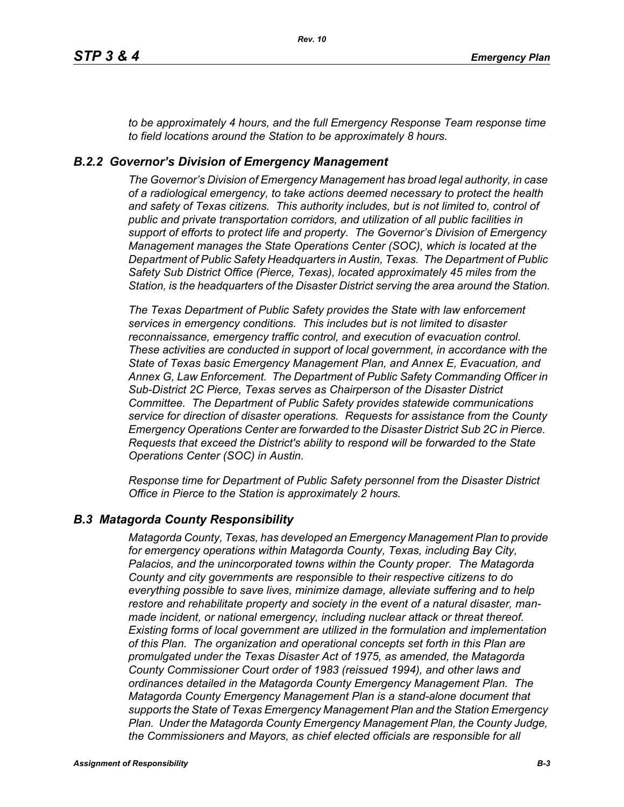*to be approximately 4 hours, and the full Emergency Response Team response time to field locations around the Station to be approximately 8 hours.*

### *B.2.2 Governor's Division of Emergency Management*

*The Governor's Division of Emergency Management has broad legal authority, in case of a radiological emergency, to take actions deemed necessary to protect the health and safety of Texas citizens. This authority includes, but is not limited to, control of public and private transportation corridors, and utilization of all public facilities in support of efforts to protect life and property. The Governor's Division of Emergency Management manages the State Operations Center (SOC), which is located at the Department of Public Safety Headquarters in Austin, Texas. The Department of Public Safety Sub District Office (Pierce, Texas), located approximately 45 miles from the Station, is the headquarters of the Disaster District serving the area around the Station.*

*The Texas Department of Public Safety provides the State with law enforcement services in emergency conditions. This includes but is not limited to disaster reconnaissance, emergency traffic control, and execution of evacuation control. These activities are conducted in support of local government, in accordance with the State of Texas basic Emergency Management Plan, and Annex E, Evacuation, and Annex G, Law Enforcement. The Department of Public Safety Commanding Officer in Sub-District 2C Pierce, Texas serves as Chairperson of the Disaster District Committee. The Department of Public Safety provides statewide communications service for direction of disaster operations. Requests for assistance from the County Emergency Operations Center are forwarded to the Disaster District Sub 2C in Pierce. Requests that exceed the District's ability to respond will be forwarded to the State Operations Center (SOC) in Austin.* 

*Response time for Department of Public Safety personnel from the Disaster District Office in Pierce to the Station is approximately 2 hours.*

### *B.3 Matagorda County Responsibility*

*Matagorda County, Texas, has developed an Emergency Management Plan to provide for emergency operations within Matagorda County, Texas, including Bay City, Palacios, and the unincorporated towns within the County proper. The Matagorda County and city governments are responsible to their respective citizens to do everything possible to save lives, minimize damage, alleviate suffering and to help restore and rehabilitate property and society in the event of a natural disaster, manmade incident, or national emergency, including nuclear attack or threat thereof. Existing forms of local government are utilized in the formulation and implementation of this Plan. The organization and operational concepts set forth in this Plan are promulgated under the Texas Disaster Act of 1975, as amended, the Matagorda County Commissioner Court order of 1983 (reissued 1994), and other laws and ordinances detailed in the Matagorda County Emergency Management Plan. The Matagorda County Emergency Management Plan is a stand-alone document that supports the State of Texas Emergency Management Plan and the Station Emergency Plan. Under the Matagorda County Emergency Management Plan, the County Judge, the Commissioners and Mayors, as chief elected officials are responsible for all*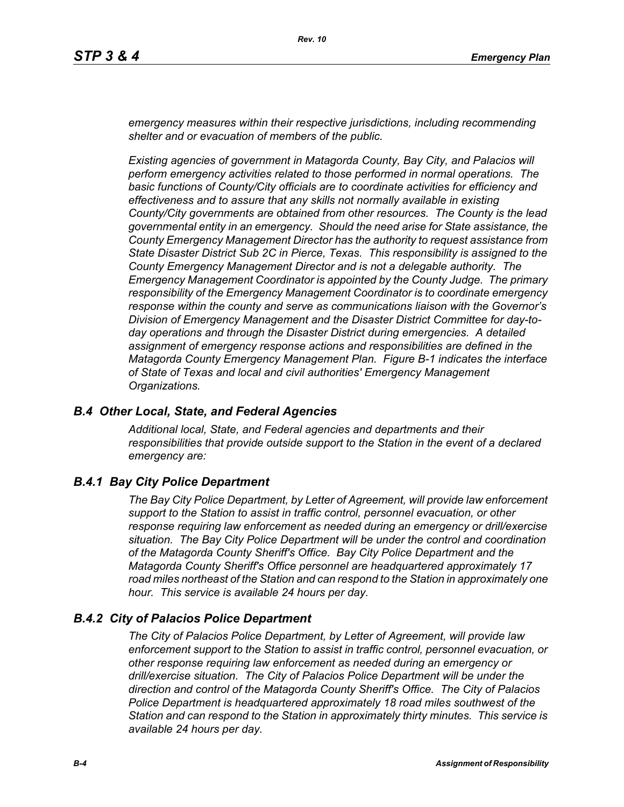*emergency measures within their respective jurisdictions, including recommending shelter and or evacuation of members of the public.* 

*Existing agencies of government in Matagorda County, Bay City, and Palacios will perform emergency activities related to those performed in normal operations. The basic functions of County/City officials are to coordinate activities for efficiency and effectiveness and to assure that any skills not normally available in existing County/City governments are obtained from other resources. The County is the lead governmental entity in an emergency. Should the need arise for State assistance, the County Emergency Management Director has the authority to request assistance from State Disaster District Sub 2C in Pierce, Texas. This responsibility is assigned to the County Emergency Management Director and is not a delegable authority. The Emergency Management Coordinator is appointed by the County Judge. The primary responsibility of the Emergency Management Coordinator is to coordinate emergency response within the county and serve as communications liaison with the Governor's Division of Emergency Management and the Disaster District Committee for day-today operations and through the Disaster District during emergencies. A detailed assignment of emergency response actions and responsibilities are defined in the Matagorda County Emergency Management Plan. Figure B-1 indicates the interface of State of Texas and local and civil authorities' Emergency Management Organizations.*

### *B.4 Other Local, State, and Federal Agencies*

*Additional local, State, and Federal agencies and departments and their responsibilities that provide outside support to the Station in the event of a declared emergency are:*

### *B.4.1 Bay City Police Department*

*The Bay City Police Department, by Letter of Agreement, will provide law enforcement support to the Station to assist in traffic control, personnel evacuation, or other response requiring law enforcement as needed during an emergency or drill/exercise situation. The Bay City Police Department will be under the control and coordination of the Matagorda County Sheriff's Office. Bay City Police Department and the Matagorda County Sheriff's Office personnel are headquartered approximately 17 road miles northeast of the Station and can respond to the Station in approximately one hour. This service is available 24 hours per day.*

### *B.4.2 City of Palacios Police Department*

*The City of Palacios Police Department, by Letter of Agreement, will provide law enforcement support to the Station to assist in traffic control, personnel evacuation, or other response requiring law enforcement as needed during an emergency or drill/exercise situation. The City of Palacios Police Department will be under the direction and control of the Matagorda County Sheriff's Office. The City of Palacios Police Department is headquartered approximately 18 road miles southwest of the Station and can respond to the Station in approximately thirty minutes. This service is available 24 hours per day.*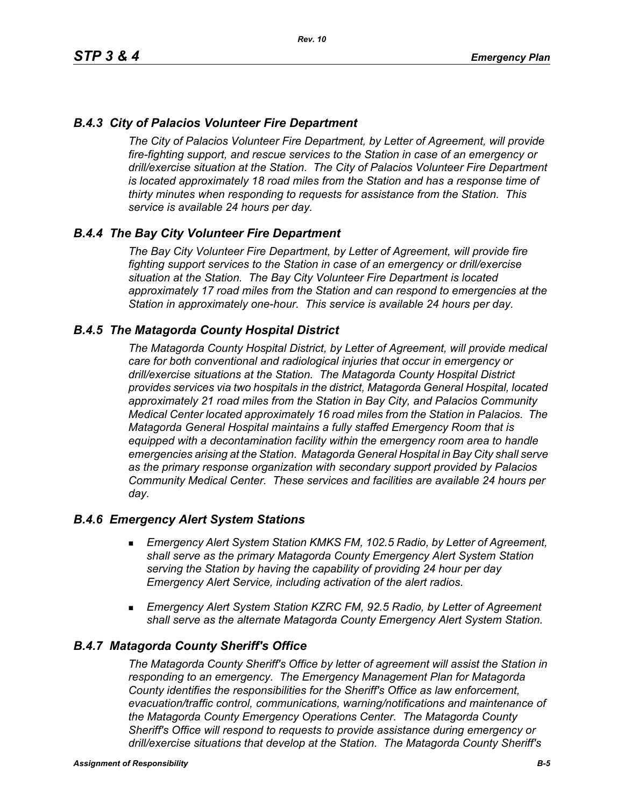# *B.4.3 City of Palacios Volunteer Fire Department*

*The City of Palacios Volunteer Fire Department, by Letter of Agreement, will provide fire-fighting support, and rescue services to the Station in case of an emergency or drill/exercise situation at the Station. The City of Palacios Volunteer Fire Department is located approximately 18 road miles from the Station and has a response time of thirty minutes when responding to requests for assistance from the Station. This service is available 24 hours per day.*

## *B.4.4 The Bay City Volunteer Fire Department*

*The Bay City Volunteer Fire Department, by Letter of Agreement, will provide fire fighting support services to the Station in case of an emergency or drill/exercise situation at the Station. The Bay City Volunteer Fire Department is located approximately 17 road miles from the Station and can respond to emergencies at the Station in approximately one-hour. This service is available 24 hours per day.*

### *B.4.5 The Matagorda County Hospital District*

*The Matagorda County Hospital District, by Letter of Agreement, will provide medical care for both conventional and radiological injuries that occur in emergency or drill/exercise situations at the Station. The Matagorda County Hospital District provides services via two hospitals in the district, Matagorda General Hospital, located approximately 21 road miles from the Station in Bay City, and Palacios Community Medical Center located approximately 16 road miles from the Station in Palacios. The Matagorda General Hospital maintains a fully staffed Emergency Room that is equipped with a decontamination facility within the emergency room area to handle emergencies arising at the Station. Matagorda General Hospital in Bay City shall serve as the primary response organization with secondary support provided by Palacios Community Medical Center. These services and facilities are available 24 hours per day.*

### *B.4.6 Emergency Alert System Stations*

- *Emergency Alert System Station KMKS FM, 102.5 Radio, by Letter of Agreement, shall serve as the primary Matagorda County Emergency Alert System Station serving the Station by having the capability of providing 24 hour per day Emergency Alert Service, including activation of the alert radios.*
- *Emergency Alert System Station KZRC FM, 92.5 Radio, by Letter of Agreement shall serve as the alternate Matagorda County Emergency Alert System Station.*

### *B.4.7 Matagorda County Sheriff's Office*

*The Matagorda County Sheriff's Office by letter of agreement will assist the Station in responding to an emergency. The Emergency Management Plan for Matagorda County identifies the responsibilities for the Sheriff's Office as law enforcement, evacuation/traffic control, communications, warning/notifications and maintenance of the Matagorda County Emergency Operations Center. The Matagorda County Sheriff's Office will respond to requests to provide assistance during emergency or drill/exercise situations that develop at the Station. The Matagorda County Sheriff's*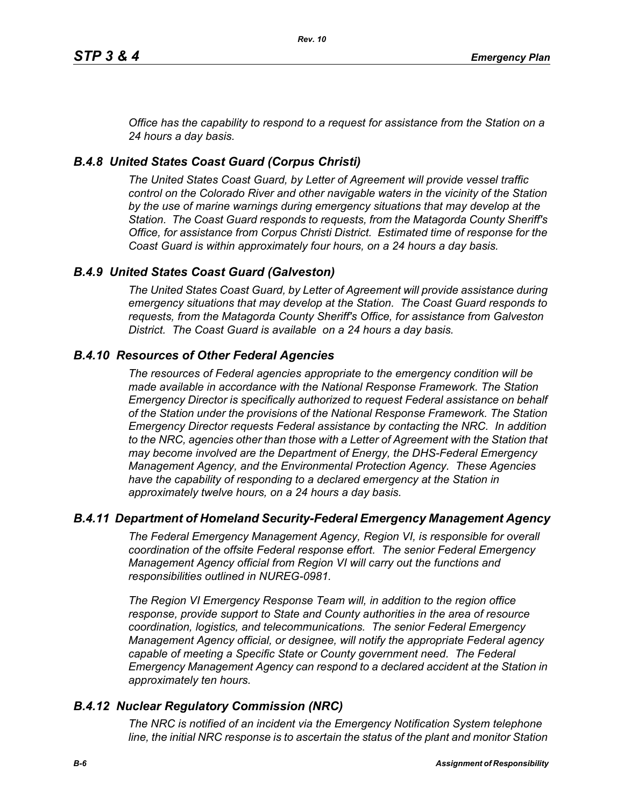*Office has the capability to respond to a request for assistance from the Station on a 24 hours a day basis.*

# *B.4.8 United States Coast Guard (Corpus Christi)*

*The United States Coast Guard, by Letter of Agreement will provide vessel traffic control on the Colorado River and other navigable waters in the vicinity of the Station by the use of marine warnings during emergency situations that may develop at the Station. The Coast Guard responds to requests, from the Matagorda County Sheriff's Office, for assistance from Corpus Christi District. Estimated time of response for the Coast Guard is within approximately four hours, on a 24 hours a day basis.*

# *B.4.9 United States Coast Guard (Galveston)*

*The United States Coast Guard, by Letter of Agreement will provide assistance during emergency situations that may develop at the Station. The Coast Guard responds to requests, from the Matagorda County Sheriff's Office, for assistance from Galveston District. The Coast Guard is available on a 24 hours a day basis.*

# *B.4.10 Resources of Other Federal Agencies*

*The resources of Federal agencies appropriate to the emergency condition will be made available in accordance with the National Response Framework. The Station Emergency Director is specifically authorized to request Federal assistance on behalf of the Station under the provisions of the National Response Framework. The Station Emergency Director requests Federal assistance by contacting the NRC. In addition*  to the NRC, agencies other than those with a Letter of Agreement with the Station that *may become involved are the Department of Energy, the DHS-Federal Emergency Management Agency, and the Environmental Protection Agency. These Agencies*  have the capability of responding to a declared emergency at the Station in *approximately twelve hours, on a 24 hours a day basis.*

## *B.4.11 Department of Homeland Security-Federal Emergency Management Agency*

*The Federal Emergency Management Agency, Region VI, is responsible for overall coordination of the offsite Federal response effort. The senior Federal Emergency Management Agency official from Region VI will carry out the functions and responsibilities outlined in NUREG-0981.*

*The Region VI Emergency Response Team will, in addition to the region office response, provide support to State and County authorities in the area of resource coordination, logistics, and telecommunications. The senior Federal Emergency Management Agency official, or designee, will notify the appropriate Federal agency*  capable of meeting a Specific State or County government need. The Federal *Emergency Management Agency can respond to a declared accident at the Station in approximately ten hours.*

## *B.4.12 Nuclear Regulatory Commission (NRC)*

*The NRC is notified of an incident via the Emergency Notification System telephone line, the initial NRC response is to ascertain the status of the plant and monitor Station*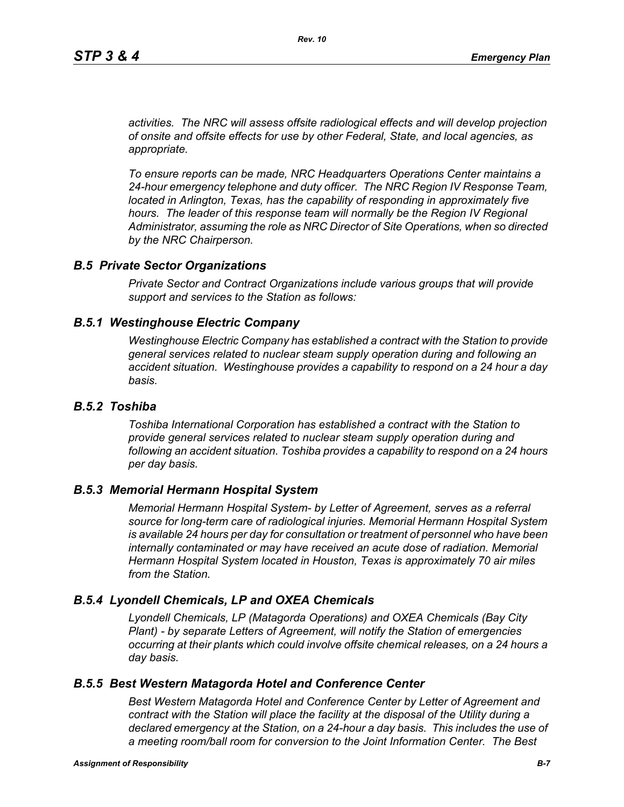*activities. The NRC will assess offsite radiological effects and will develop projection of onsite and offsite effects for use by other Federal, State, and local agencies, as appropriate.*

*To ensure reports can be made, NRC Headquarters Operations Center maintains a 24-hour emergency telephone and duty officer. The NRC Region IV Response Team, located in Arlington, Texas, has the capability of responding in approximately five* hours. The leader of this response team will normally be the Region IV Regional *Administrator, assuming the role as NRC Director of Site Operations, when so directed by the NRC Chairperson.*

#### *B.5 Private Sector Organizations*

*Private Sector and Contract Organizations include various groups that will provide support and services to the Station as follows:*

#### *B.5.1 Westinghouse Electric Company*

*Westinghouse Electric Company has established a contract with the Station to provide general services related to nuclear steam supply operation during and following an accident situation. Westinghouse provides a capability to respond on a 24 hour a day basis.* 

#### *B.5.2 Toshiba*

*Toshiba International Corporation has established a contract with the Station to provide general services related to nuclear steam supply operation during and following an accident situation. Toshiba provides a capability to respond on a 24 hours per day basis.*

#### *B.5.3 Memorial Hermann Hospital System*

*Memorial Hermann Hospital System- by Letter of Agreement, serves as a referral source for long-term care of radiological injuries. Memorial Hermann Hospital System is available 24 hours per day for consultation or treatment of personnel who have been*  internally contaminated or may have received an acute dose of radiation. Memorial *Hermann Hospital System located in Houston, Texas is approximately 70 air miles from the Station.*

### *B.5.4 Lyondell Chemicals, LP and OXEA Chemicals*

*Lyondell Chemicals, LP (Matagorda Operations) and OXEA Chemicals (Bay City Plant) - by separate Letters of Agreement, will notify the Station of emergencies occurring at their plants which could involve offsite chemical releases, on a 24 hours a day basis.*

### *B.5.5 Best Western Matagorda Hotel and Conference Center*

*Best Western Matagorda Hotel and Conference Center by Letter of Agreement and contract with the Station will place the facility at the disposal of the Utility during a declared emergency at the Station, on a 24-hour a day basis. This includes the use of a meeting room/ball room for conversion to the Joint Information Center. The Best*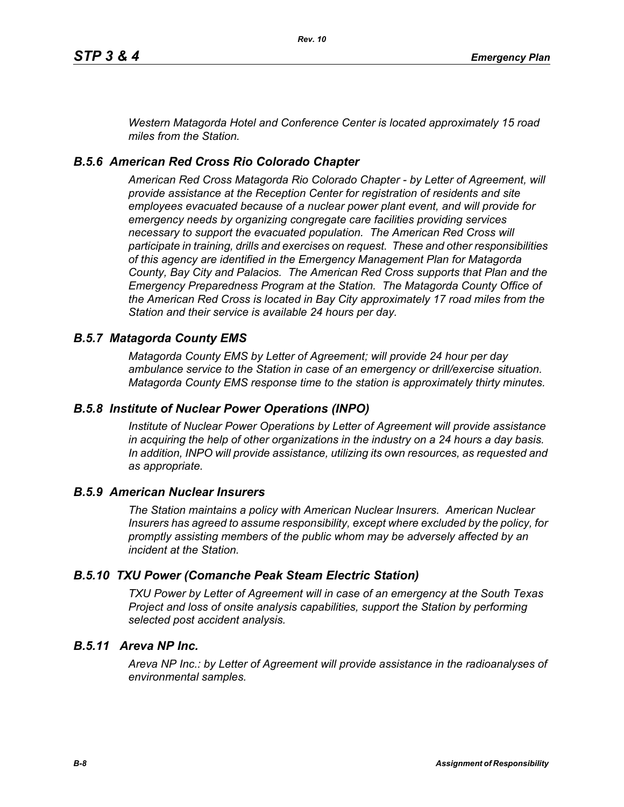*Western Matagorda Hotel and Conference Center is located approximately 15 road miles from the Station.*

#### *B.5.6 American Red Cross Rio Colorado Chapter*

*American Red Cross Matagorda Rio Colorado Chapter - by Letter of Agreement, will provide assistance at the Reception Center for registration of residents and site employees evacuated because of a nuclear power plant event, and will provide for emergency needs by organizing congregate care facilities providing services necessary to support the evacuated population. The American Red Cross will participate in training, drills and exercises on request. These and other responsibilities of this agency are identified in the Emergency Management Plan for Matagorda County, Bay City and Palacios. The American Red Cross supports that Plan and the Emergency Preparedness Program at the Station. The Matagorda County Office of the American Red Cross is located in Bay City approximately 17 road miles from the Station and their service is available 24 hours per day.*

#### *B.5.7 Matagorda County EMS*

*Matagorda County EMS by Letter of Agreement; will provide 24 hour per day ambulance service to the Station in case of an emergency or drill/exercise situation. Matagorda County EMS response time to the station is approximately thirty minutes.*

### *B.5.8 Institute of Nuclear Power Operations (INPO)*

*Institute of Nuclear Power Operations by Letter of Agreement will provide assistance in acquiring the help of other organizations in the industry on a 24 hours a day basis. In addition, INPO will provide assistance, utilizing its own resources, as requested and as appropriate.*

#### *B.5.9 American Nuclear Insurers*

*The Station maintains a policy with American Nuclear Insurers. American Nuclear Insurers has agreed to assume responsibility, except where excluded by the policy, for promptly assisting members of the public whom may be adversely affected by an incident at the Station.*

#### *B.5.10 TXU Power (Comanche Peak Steam Electric Station)*

*TXU Power by Letter of Agreement will in case of an emergency at the South Texas Project and loss of onsite analysis capabilities, support the Station by performing selected post accident analysis.*

### *B.5.11 Areva NP Inc.*

*Areva NP Inc.: by Letter of Agreement will provide assistance in the radioanalyses of environmental samples.*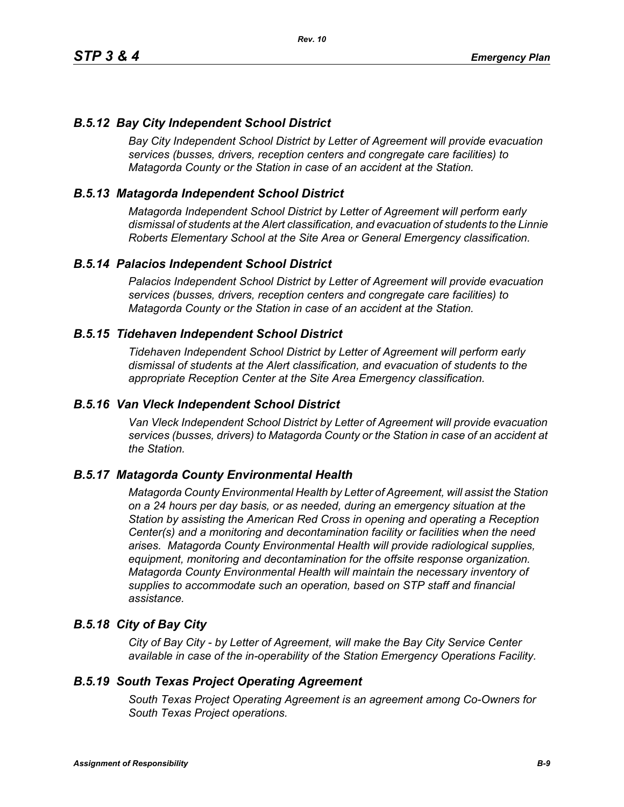# *B.5.12 Bay City Independent School District*

*Bay City Independent School District by Letter of Agreement will provide evacuation services (busses, drivers, reception centers and congregate care facilities) to Matagorda County or the Station in case of an accident at the Station.*

# *B.5.13 Matagorda Independent School District*

*Matagorda Independent School District by Letter of Agreement will perform early dismissal of students at the Alert classification, and evacuation of students to the Linnie Roberts Elementary School at the Site Area or General Emergency classification.*

### *B.5.14 Palacios Independent School District*

*Palacios Independent School District by Letter of Agreement will provide evacuation services (busses, drivers, reception centers and congregate care facilities) to Matagorda County or the Station in case of an accident at the Station.*

### *B.5.15 Tidehaven Independent School District*

*Tidehaven Independent School District by Letter of Agreement will perform early dismissal of students at the Alert classification, and evacuation of students to the appropriate Reception Center at the Site Area Emergency classification.*

### *B.5.16 Van Vleck Independent School District*

*Van Vleck Independent School District by Letter of Agreement will provide evacuation services (busses, drivers) to Matagorda County or the Station in case of an accident at the Station.*

## *B.5.17 Matagorda County Environmental Health*

*Matagorda County Environmental Health by Letter of Agreement, will assist the Station on a 24 hours per day basis, or as needed, during an emergency situation at the Station by assisting the American Red Cross in opening and operating a Reception Center(s) and a monitoring and decontamination facility or facilities when the need arises. Matagorda County Environmental Health will provide radiological supplies, equipment, monitoring and decontamination for the offsite response organization. Matagorda County Environmental Health will maintain the necessary inventory of supplies to accommodate such an operation, based on STP staff and financial assistance.*

## *B.5.18 City of Bay City*

*City of Bay City - by Letter of Agreement, will make the Bay City Service Center available in case of the in-operability of the Station Emergency Operations Facility.*

### *B.5.19 South Texas Project Operating Agreement*

*South Texas Project Operating Agreement is an agreement among Co-Owners for South Texas Project operations.*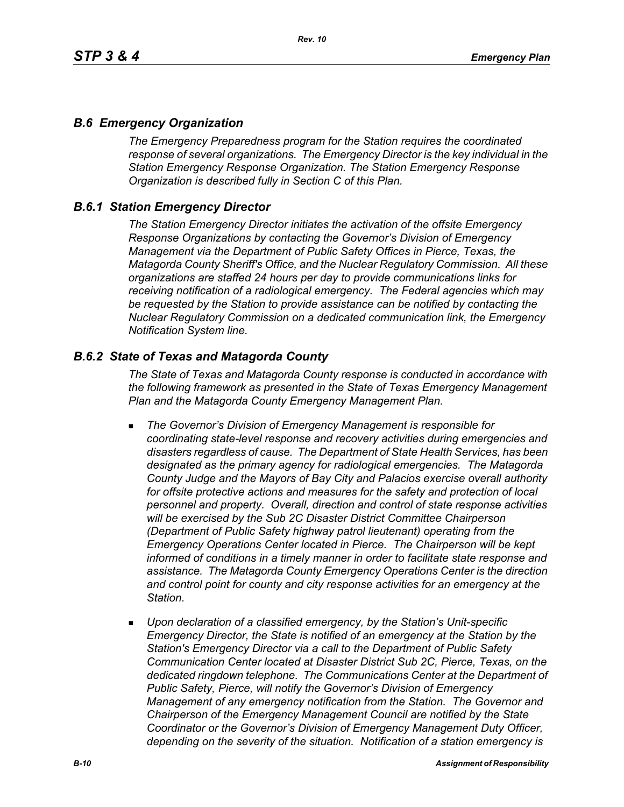## *B.6 Emergency Organization*

*The Emergency Preparedness program for the Station requires the coordinated response of several organizations. The Emergency Director is the key individual in the Station Emergency Response Organization. The Station Emergency Response Organization is described fully in Section C of this Plan.*

## *B.6.1 Station Emergency Director*

*The Station Emergency Director initiates the activation of the offsite Emergency Response Organizations by contacting the Governor's Division of Emergency Management via the Department of Public Safety Offices in Pierce, Texas, the Matagorda County Sheriff's Office, and the Nuclear Regulatory Commission. All these organizations are staffed 24 hours per day to provide communications links for receiving notification of a radiological emergency. The Federal agencies which may be requested by the Station to provide assistance can be notified by contacting the Nuclear Regulatory Commission on a dedicated communication link, the Emergency Notification System line.*

## *B.6.2 State of Texas and Matagorda County*

*The State of Texas and Matagorda County response is conducted in accordance with the following framework as presented in the State of Texas Emergency Management Plan and the Matagorda County Emergency Management Plan.*

- *The Governor's Division of Emergency Management is responsible for coordinating state-level response and recovery activities during emergencies and disasters regardless of cause. The Department of State Health Services, has been designated as the primary agency for radiological emergencies. The Matagorda County Judge and the Mayors of Bay City and Palacios exercise overall authority*  for offsite protective actions and measures for the safety and protection of local *personnel and property. Overall, direction and control of state response activities will be exercised by the Sub 2C Disaster District Committee Chairperson (Department of Public Safety highway patrol lieutenant) operating from the Emergency Operations Center located in Pierce. The Chairperson will be kept informed of conditions in a timely manner in order to facilitate state response and assistance. The Matagorda County Emergency Operations Center is the direction and control point for county and city response activities for an emergency at the Station.*
- *Upon declaration of a classified emergency, by the Station's Unit-specific Emergency Director, the State is notified of an emergency at the Station by the Station's Emergency Director via a call to the Department of Public Safety Communication Center located at Disaster District Sub 2C, Pierce, Texas, on the dedicated ringdown telephone. The Communications Center at the Department of Public Safety, Pierce, will notify the Governor's Division of Emergency Management of any emergency notification from the Station. The Governor and Chairperson of the Emergency Management Council are notified by the State Coordinator or the Governor's Division of Emergency Management Duty Officer, depending on the severity of the situation. Notification of a station emergency is*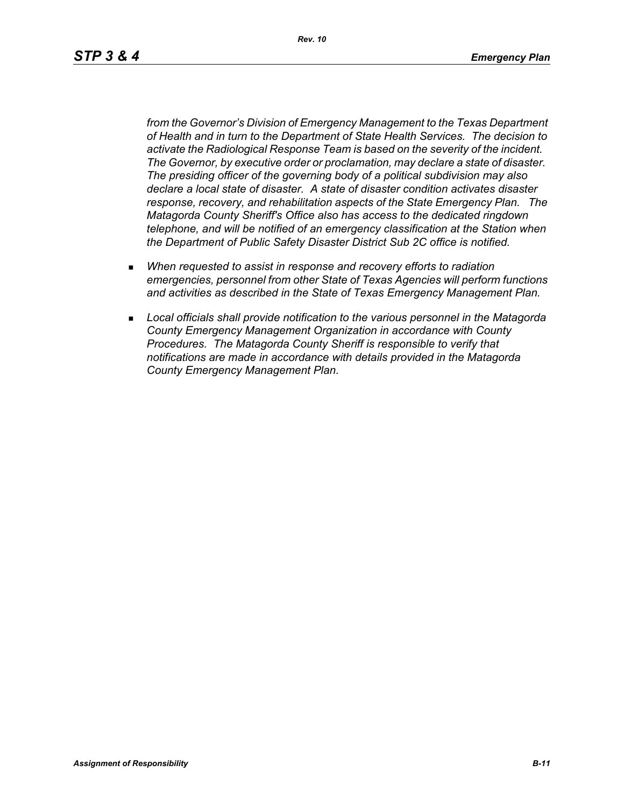*Rev. 10*

*from the Governor's Division of Emergency Management to the Texas Department of Health and in turn to the Department of State Health Services. The decision to activate the Radiological Response Team is based on the severity of the incident. The Governor, by executive order or proclamation, may declare a state of disaster. The presiding officer of the governing body of a political subdivision may also declare a local state of disaster. A state of disaster condition activates disaster response, recovery, and rehabilitation aspects of the State Emergency Plan. The Matagorda County Sheriff's Office also has access to the dedicated ringdown telephone, and will be notified of an emergency classification at the Station when the Department of Public Safety Disaster District Sub 2C office is notified.*

- *When requested to assist in response and recovery efforts to radiation emergencies, personnel from other State of Texas Agencies will perform functions and activities as described in the State of Texas Emergency Management Plan.*
- *Local officials shall provide notification to the various personnel in the Matagorda County Emergency Management Organization in accordance with County Procedures. The Matagorda County Sheriff is responsible to verify that notifications are made in accordance with details provided in the Matagorda County Emergency Management Plan.*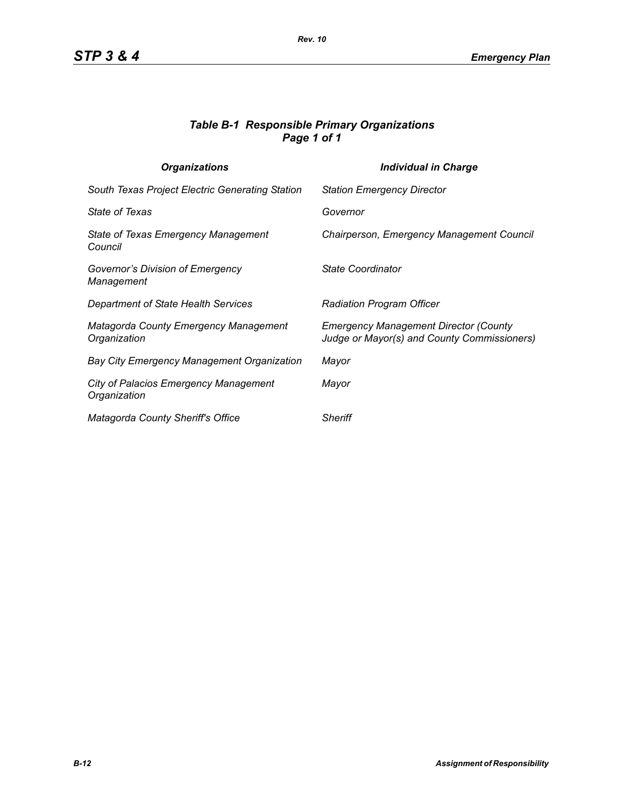## *Table B-1 Responsible Primary Organizations Page 1 of 1*

| <b>Organizations</b>                                  | <b>Individual in Charge</b>                                                                 |
|-------------------------------------------------------|---------------------------------------------------------------------------------------------|
| South Texas Project Electric Generating Station       | <b>Station Emergency Director</b>                                                           |
| <b>State of Texas</b>                                 | Governor                                                                                    |
| State of Texas Emergency Management<br>Council        | Chairperson, Emergency Management Council                                                   |
| Governor's Division of Emergency<br>Management        | State Coordinator                                                                           |
| Department of State Health Services                   | <b>Radiation Program Officer</b>                                                            |
| Matagorda County Emergency Management<br>Organization | <b>Emergency Management Director (County</b><br>Judge or Mayor(s) and County Commissioners) |
| Bay City Emergency Management Organization            | Mayor                                                                                       |
| City of Palacios Emergency Management<br>Organization | Mayor                                                                                       |
| <b>Matagorda County Sheriff's Office</b>              | <b>Sheriff</b>                                                                              |